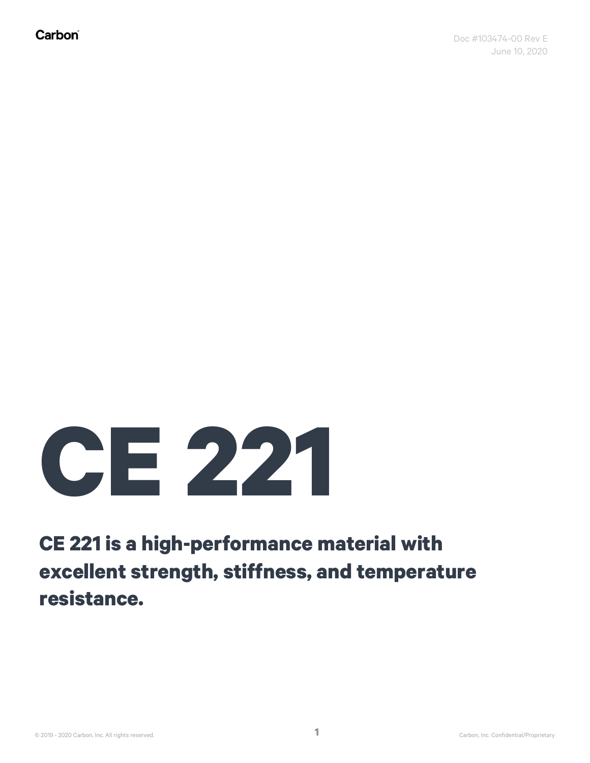## **CE 221**

## **CE 221 is a high-performance material with excellent strength, stiffness, and temperature resistance.**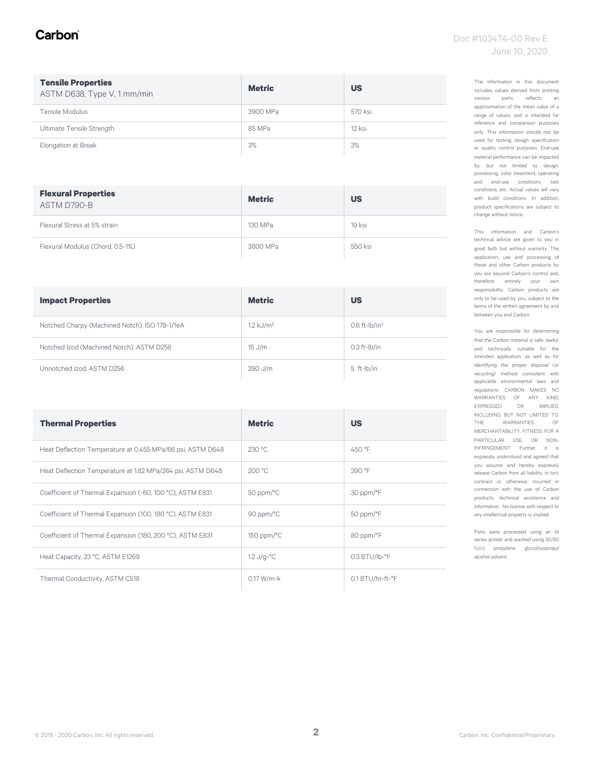#### Carbon

| <b>Tensile Properties</b><br>ASTM D638, Type V, 1 mm/min | <b>Metric</b> | <b>US</b> |
|----------------------------------------------------------|---------------|-----------|
| Tensile Modulus                                          | 3900 MPa      | 570 ksi   |
| Ultimate Tensile Strength                                | 85 MPa        | 12 ksi    |
| Elongation at Break                                      | 3%            | 3%        |

| <b>Flexural Properties</b><br>ASTM D790-B | <b>Metric</b> | <b>US</b> |
|-------------------------------------------|---------------|-----------|
| Flexural Stress at 5% strain              | 130 MPa       | $19$ ksi  |
| Flexural Modulus (Chord, 0.5-1%)          | 3800 MPa      | 550 ksi   |

| <b>Impact Properties</b>                       | <b>Metric</b>        | <b>US</b>           |
|------------------------------------------------|----------------------|---------------------|
| Notched Charpy (Machined Notch), ISO 179-1/1eA | $1.2 \text{ kJ/m}^2$ | $0.6$ ft- $lb/in^2$ |
| Notched Izod (Machined Notch), ASTM D256       | $15$ J/m             | $0.3$ ft- $I$ b/in  |
| Unnotched Izod, ASTM D256                      | 290 J/m              | 5 ft-lb/in          |

| <b>Thermal Properties</b>                                  | <b>Metric</b>               | <b>US</b>                 |
|------------------------------------------------------------|-----------------------------|---------------------------|
| Heat Deflection Temperature at 0.455 MPa/66 psi, ASTM D648 | 230 °C                      | 450 °F                    |
| Heat Deflection Temperature at 1.82 MPa/264 psi, ASTM D648 | 200 °C                      | 390 °F                    |
| Coefficient of Thermal Expansion (-60, 100 °C), ASTM E831  | $50$ ppm/ $\degree$ C       | 30 ppm/°F                 |
| Coefficient of Thermal Expansion (100, 180 °C), ASTM E831  | 90 ppm/ $\degree$ C         | 50 ppm/°F                 |
| Coefficient of Thermal Expansion (180, 200 °C), ASTM E831  | $150$ ppm/ $\degree$ C      | 80 ppm/°F                 |
| Heat Capacity, 23 °C, ASTM E1269                           | $1.2 \text{ J/g-}^{\circ}C$ | $0.3$ BTU/lb- $\degree$ F |
| Thermal Conductivity, ASTM C518                            | $0.17 W/m-k$                | 0.1 BTU/hr-ft-°F          |

The information in this document includes values derived from printing various parts, reflects an approximation of the mean value of a range of values, and is intended for reference and comparison purposes only. This information should not be used for testing, design specification or quality control purposes. End-use material performance can be impacted by, but not limited to, design, processing, color treatment, operating and end-use conditions, test conditions, etc. Actual values will vary with build conditions. In addition, product specifications are subject to change without notice.

This information and Carbon's technical advice are given to you in good faith but without warranty. The application, use and processing of these and other Carbon products by you are beyond Carbon's control and, therefore, entirely your own responsibility. Carbon products are only to be used by you, subject to the terms of the written agreement by and between you and Carbon.

You are responsible for determining that the Carbon material is safe, lawful, and technically suitable for the intended application, as well as for identifying the proper disposal (or recycling) method consistent with applicable environmental laws and regulations. CARBON MAKES NO WARRANTIES OF ANY KIND, EXPRESSED OR IMPLIED, INCLUDING, BUT NOT LIMITED TO, THE WARRANTIES OF MERCHANTABILITY, FITNESS FOR A PARTICULAR USE, OR NON-INFRINGEMENT. Further, it is expressly understood and agreed that you assume and hereby expressly release Carbon from all liability, in tort, contract or otherwise, incurred in connection with the use of Carbon products, technical assistance and information. No license with respect to any intellectual property is implied.

Parts were processed using an M series printer and washed using 50/50 (v/v) propylene glycol/isopropyl alcohol solvent.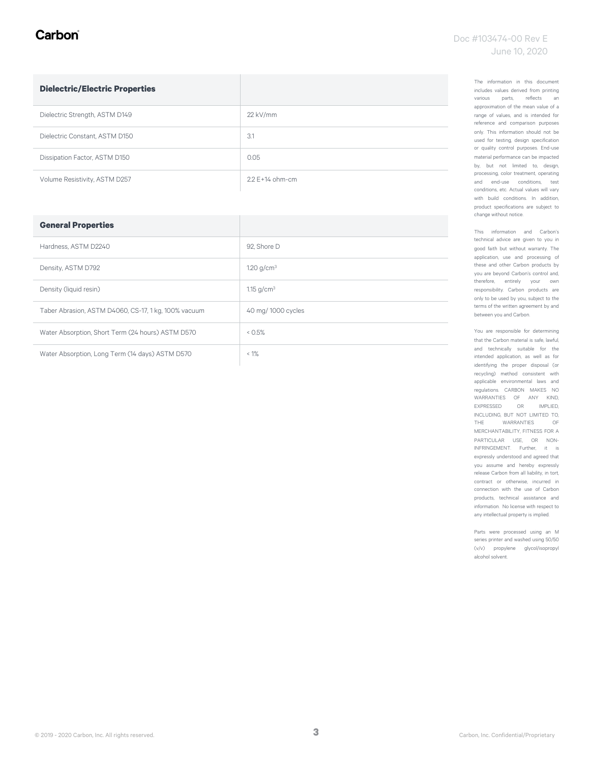#### Carbon

| <b>Dielectric/Electric Properties</b> |                     |
|---------------------------------------|---------------------|
| Dielectric Strength, ASTM D149        | $22$ kV/mm          |
| Dielectric Constant, ASTM D150        | 3.1                 |
| Dissipation Factor, ASTM D150         | 0.05                |
| Volume Resistivity, ASTM D257         | $2.2 F + 14$ ohm-cm |

| <b>General Properties</b>                            |                    |
|------------------------------------------------------|--------------------|
| Hardness, ASTM D2240                                 | 92. Shore D        |
| Density, ASTM D792                                   | 1.20 $q/cm^3$      |
| Density (liquid resin)                               | 1.15 $q/cm^3$      |
| Taber Abrasion, ASTM D4060, CS-17, 1 kg, 100% vacuum | 40 mg/ 1000 cycles |
| Water Absorption, Short Term (24 hours) ASTM D570    | 0.5%               |
| Water Absorption, Long Term (14 days) ASTM D570      | $< 1\%$            |

The information in this document includes values derived from printing various parts, reflects an approximation of the mean value of a range of values, and is intended for reference and comparison purposes only. This information should not be used for testing, design specification or quality control purposes. End-use material performance can be impacted by, but not limited to, design, processing, color treatment, operating and end-use conditions, test conditions, etc. Actual values will vary with build conditions. In addition, product specifications are subject to change without notice.

This information and Carbon's technical advice are given to you in good faith but without warranty. The application, use and processing of these and other Carbon products by you are beyond Carbon's control and, therefore, entirely your own responsibility. Carbon products are only to be used by you, subject to the terms of the written agreement by and between you and Carbon.

You are responsible for determining that the Carbon material is safe, lawful, and technically suitable for the intended application, as well as for identifying the proper disposal (or recycling) method consistent with applicable environmental laws and regulations. CARBON MAKES NO WARRANTIES OF ANY KIND, EXPRESSED OR IMPLIED, INCLUDING, BUT NOT LIMITED TO, THE WARRANTIES OF MERCHANTABILITY, FITNESS FOR A PARTICULAR USE, OR NON-INFRINGEMENT. Further, it is expressly understood and agreed that you assume and hereby expressly release Carbon from all liability, in tort, contract or otherwise, incurred in connection with the use of Carbon products, technical assistance and information. No license with respect to any intellectual property is implied.

Parts were processed using an M series printer and washed using 50/50 (v/v) propylene glycol/isopropyl alcohol solvent.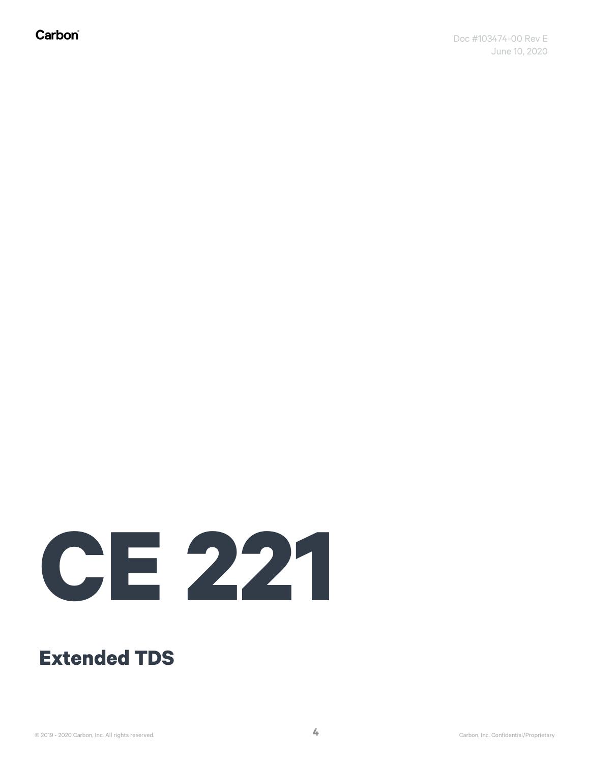Carbon®

# **CE 221**

### **Extended TDS**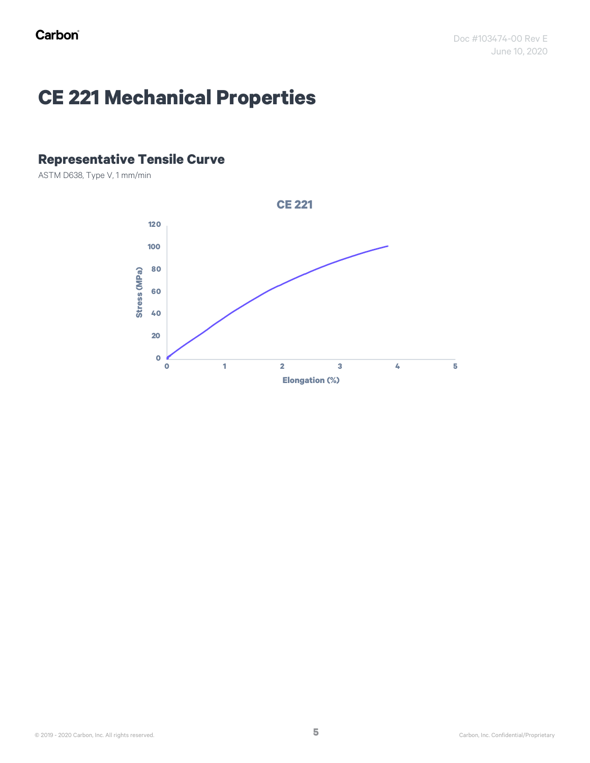## **CE 221 Mechanical Properties**

#### **Representative Tensile Curve**

ASTM D638, Type V, 1 mm/min

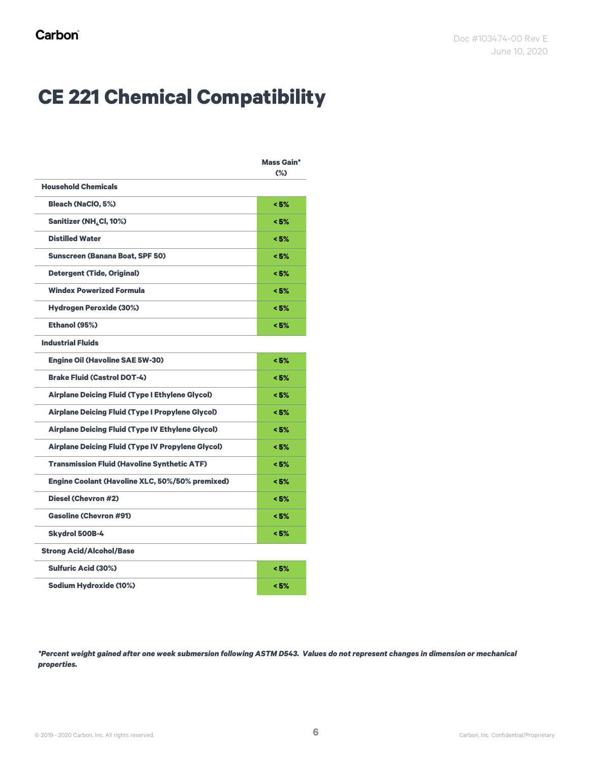## **CE 221 Chemical Compatibility**

|                                                          | <b>Mass Gain*</b><br>$(\%)$ |
|----------------------------------------------------------|-----------------------------|
| <b>Household Chemicals</b>                               |                             |
| <b>Bleach (NaClO, 5%)</b>                                | < 5%                        |
| Sanitizer (NH <sub>4</sub> Cl, 10%)                      | < 5%                        |
| <b>Distilled Water</b>                                   | < 5%                        |
| <b>Sunscreen (Banana Boat, SPF 50)</b>                   | < 5%                        |
| <b>Detergent (Tide, Original)</b>                        | < 5%                        |
| <b>Windex Powerized Formula</b>                          | < 5%                        |
| <b>Hydrogen Peroxide (30%)</b>                           | < 5%                        |
| Ethanol (95%)                                            | < 5%                        |
| <b>Industrial Fluids</b>                                 |                             |
| <b>Engine Oil (Havoline SAE 5W-30)</b>                   | < 5%                        |
| <b>Brake Fluid (Castrol DOT-4)</b>                       | < 5%                        |
| <b>Airplane Deicing Fluid (Type I Ethylene Glycol)</b>   | < 5%                        |
| <b>Airplane Deicing Fluid (Type I Propylene Glycol)</b>  | < 5%                        |
| <b>Airplane Deicing Fluid (Type IV Ethylene Glycol)</b>  | < 5%                        |
| <b>Airplane Deicing Fluid (Type IV Propylene Glycol)</b> | < 5%                        |
| <b>Transmission Fluid (Havoline Synthetic ATF)</b>       | < 5%                        |
| Engine Coolant (Havoline XLC, 50%/50% premixed)          | < 5%                        |
| <b>Diesel (Chevron #2)</b>                               | < 5%                        |
| <b>Gasoline (Chevron #91)</b>                            | < 5%                        |
| <b>Skydrol 500B-4</b>                                    | < 5%                        |
| <b>Strong Acid/Alcohol/Base</b>                          |                             |
| <b>Sulfuric Acid (30%)</b>                               | < 5%                        |
| <b>Sodium Hydroxide (10%)</b>                            | < 5%                        |

*\*Percent weight gained after one week submersion following ASTM D543. Values do not represent changes in dimension or mechanical properties.*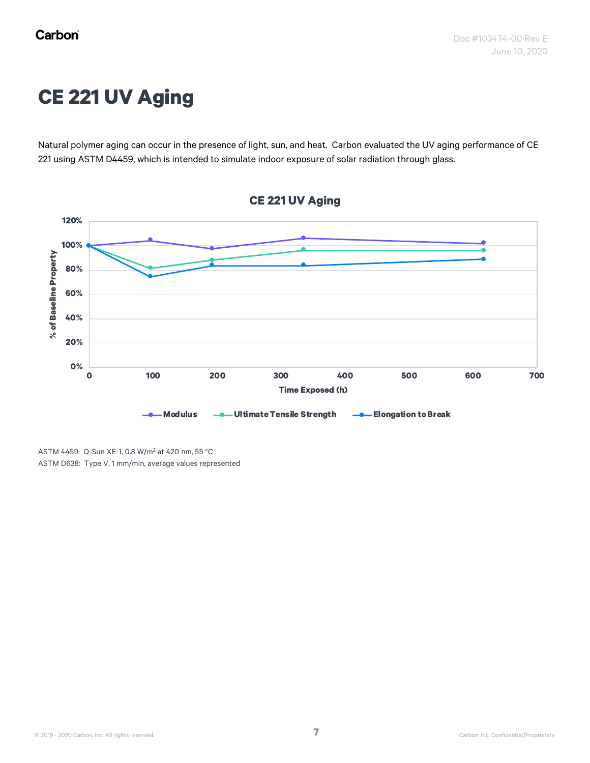## **CE 221 UV Aging**

Natural polymer aging can occur in the presence of light, sun, and heat. Carbon evaluated the UV aging performance of CE 221 using ASTM D4459, which is intended to simulate indoor exposure of solar radiation through glass.



ASTM 4459: Q-Sun XE-1, 0.8 W/m<sup>2</sup> at 420 nm, 55 °C ASTM D638: Type V, 1 mm/min, average values represented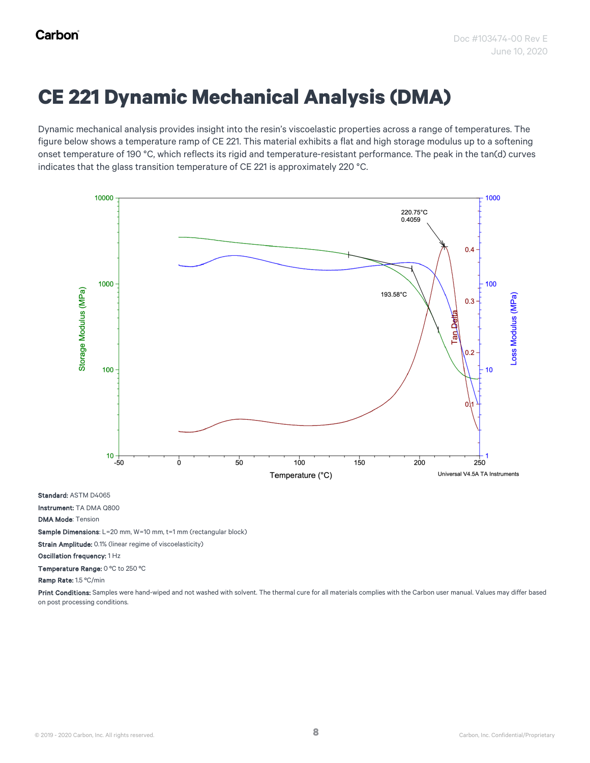## **CE 221 Dynamic Mechanical Analysis (DMA)**

Dynamic mechanical analysis provides insight into the resin's viscoelastic properties across a range of temperatures. The figure below shows a temperature ramp of CE 221. This material exhibits a flat and high storage modulus up to a softening onset temperature of 190 °C, which reflects its rigid and temperature-resistant performance. The peak in the tan(d) curves indicates that the glass transition temperature of CE 221 is approximately 220 °C.



Standard: ASTM D4065

Instrument: TA DMA Q800

DMA Mode: Tension

Sample Dimensions: L=20 mm, W=10 mm, t=1 mm (rectangular block)

Strain Amplitude: 0.1% (linear regime of viscoelasticity)

Oscillation frequency: 1 Hz

Temperature Range: 0 ºC to 250 ºC

Ramp Rate: 1.5 ºC/min

Print Conditions: Samples were hand-wiped and not washed with solvent. The thermal cure for all materials complies with the Carbon user manual. Values may differ based on post processing conditions.